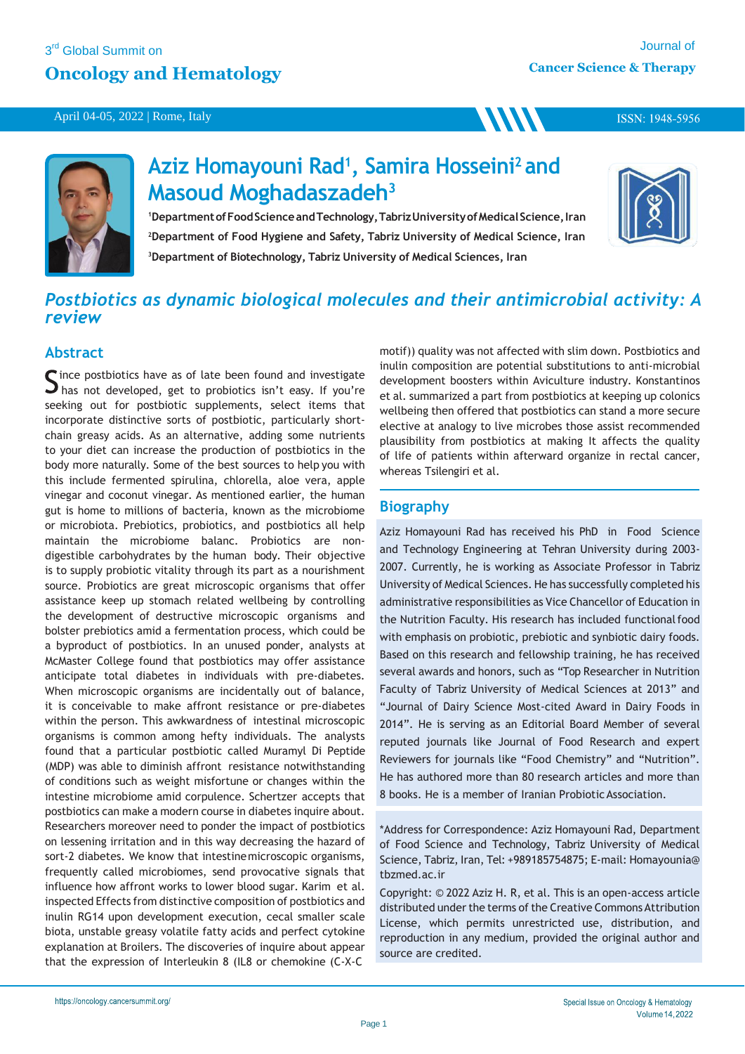### 3<sup>rd</sup> Global Summit on

April 04-05, 2022 | Rome, Italy

## **Oncology and Hematology**

ISSN: 1948-5956



# **Aziz Homayouni Rad<sup>1</sup> , Samira Hosseini<sup>2</sup>and Masoud Moghadaszadeh<sup>3</sup>**

<sup>1</sup>Department of Food Science and Technology, Tabriz University of Medical Science, Iran **<sup>2</sup>Department of Food Hygiene and Safety, Tabriz University of Medical Science, Iran <sup>3</sup>Department of Biotechnology, Tabriz University of Medical Sciences, Iran**



# *Postbiotics as dynamic biological molecules and their antimicrobial activity: A review*

### **Abstract**

ince postbiotics have as of late been found and investigate  $\Box$  has not developed, get to probiotics isn't easy. If you're seeking out for postbiotic supplements, select items that incorporate distinctive sorts of postbiotic, particularly shortchain greasy acids. As an alternative, adding some nutrients to your diet can increase the production of postbiotics in the body more naturally. Some of the best sources to help you with this include fermented spirulina, chlorella, aloe vera, apple vinegar and coconut vinegar. As mentioned earlier, the human gut is home to millions of bacteria, known as the microbiome or microbiota. Prebiotics, probiotics, and postbiotics all help maintain the microbiome balanc. Probiotics are nondigestible carbohydrates by the human body. Their objective is to supply probiotic vitality through its part as a nourishment source. Probiotics are great microscopic organisms that offer assistance keep up stomach related wellbeing by controlling the development of destructive microscopic organisms and bolster prebiotics amid a fermentation process, which could be a byproduct of postbiotics. In an unused ponder, analysts at McMaster College found that postbiotics may offer assistance anticipate total diabetes in individuals with pre-diabetes. When microscopic organisms are incidentally out of balance, it is conceivable to make affront resistance or pre-diabetes within the person. This awkwardness of intestinal microscopic organisms is common among hefty individuals. The analysts found that a particular postbiotic called Muramyl Di Peptide (MDP) was able to diminish affront resistance notwithstanding of conditions such as weight misfortune or changes within the intestine microbiome amid corpulence. Schertzer accepts that postbiotics can make a modern course in diabetes inquire about. Researchers moreover need to ponder the impact of postbiotics on lessening irritation and in this way decreasing the hazard of sort-2 diabetes. We know that intestinemicroscopic organisms, frequently called microbiomes, send provocative signals that influence how affront works to lower blood sugar. Karim et al. inspected Effects from distinctive composition of postbiotics and inulin RG14 upon development execution, cecal smaller scale biota, unstable greasy volatile fatty acids and perfect cytokine explanation at Broilers. The discoveries of inquire about appear that the expression of Interleukin 8 (IL8 or chemokine (C-X-C

motif)) quality was not affected with slim down. Postbiotics and inulin composition are potential substitutions to anti-microbial development boosters within Aviculture industry. Konstantinos et al. summarized a part from postbiotics at keeping up colonics wellbeing then offered that postbiotics can stand a more secure elective at analogy to live microbes those assist recommended plausibility from postbiotics at making It affects the quality of life of patients within afterward organize in rectal cancer, whereas Tsilengiri et al.

**MM** 

## **Biography**

Aziz Homayouni Rad has received his PhD in Food Science and Technology Engineering at Tehran University during 2003- 2007. Currently, he is working as Associate Professor in Tabriz University of Medical Sciences. He has successfully completed his administrative responsibilities as Vice Chancellor of Education in the Nutrition Faculty. His research has included functional food with emphasis on probiotic, prebiotic and synbiotic dairy foods. Based on this research and fellowship training, he has received several awards and honors, such as "Top Researcher in Nutrition Faculty of Tabriz University of Medical Sciences at 2013" and "Journal of Dairy Science Most-cited Award in Dairy Foods in 2014". He is serving as an Editorial Board Member of several reputed journals like Journal of Food Research and expert Reviewers for journals like "Food Chemistry" and "Nutrition". He has authored more than 80 research articles and more than 8 books. He is a member of Iranian Probiotic Association.

\*Address for Correspondence: Aziz Homayouni Rad, Department of Food Science and Technology, Tabriz University of Medical Science, Tabriz, Iran, Tel: +989185754875; E-mail: Homayounia@ tbzmed.ac.ir

Copyright: © 2022 Aziz H. R, et al. This is an open-access article distributed under the terms of the Creative Commons Attribution License, which permits unrestricted use, distribution, and reproduction in any medium, provided the original author and source are credited.